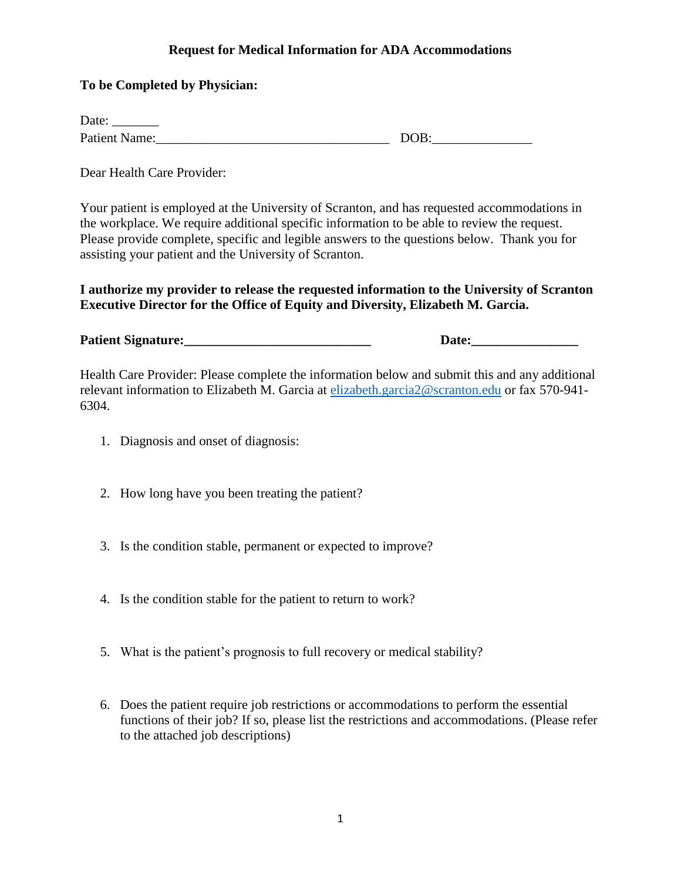## **Request for Medical Information for ADA Accommodations**

## **To be Completed by Physician:**

| Date:                |      |
|----------------------|------|
| <b>Patient Name:</b> | DOB: |

Dear Health Care Provider:

Your patient is employed at the University of Scranton, and has requested accommodations in the workplace. We require additional specific information to be able to review the request. Please provide complete, specific and legible answers to the questions below. Thank you for assisting your patient and the University of Scranton.

**I authorize my provider to release the requested information to the University of Scranton Executive Director for the Office of Equity and Diversity, Elizabeth M. Garcia.**

**Patient Signature:\_\_\_\_\_\_\_\_\_\_\_\_\_\_\_\_\_\_\_\_\_\_\_\_\_\_\_\_ Date:\_\_\_\_\_\_\_\_\_\_\_\_\_\_\_\_**

Health Care Provider: Please complete the information below and submit this and any additional relevant information to Elizabeth M. Garcia at [elizabeth.garcia2@scranton.edu](mailto:elizabeth.garcia2@scranton.edu) or fax 570-941- 6304.

- 1. Diagnosis and onset of diagnosis:
- 2. How long have you been treating the patient?
- 3. Is the condition stable, permanent or expected to improve?
- 4. Is the condition stable for the patient to return to work?
- 5. What is the patient's prognosis to full recovery or medical stability?
- 6. Does the patient require job restrictions or accommodations to perform the essential functions of their job? If so, please list the restrictions and accommodations. (Please refer to the attached job descriptions)